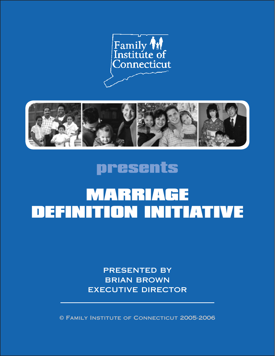



## presents

## **MARRIAGE** Definition Initiative

presented by brian brown executive director

© Family Institute of Connecticut 2005-2006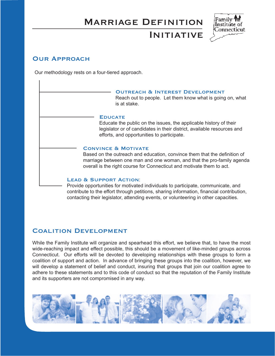### Marriage Definition



## **INITIATIVE**

#### **OUR APPROACH**

Our methodology rests on a four-tiered approach.

#### Outreach & Interest Development Reach out to people. Let them know what is going on, what is at stake.

#### **EDUCATE**

Educate the public on the issues, the applicable history of their legislator or of candidates in their district, available resources and efforts, and opportunities to participate.

#### Convince & Motivate

Based on the outreach and education, convince them that the definition of marriage between one man and one woman, and that the pro-family agenda overall is the right course for Connecticut and motivate them to act.

#### LEAD & SUPPORT ACTION:

Provide opportunities for motivated individuals to participate, communicate, and contribute to the effort through petitions, sharing information, financial contribution, contacting their legislator, attending events, or volunteering in other capacities.

#### Coalition Development

While the Family Institute will organize and spearhead this effort, we believe that, to have the most wide-reaching impact and effect possible, this should be a movement of like-minded groups across Connecticut. Our efforts will be devoted to developing relationships with these groups to form a coalition of support and action. In advance of bringing these groups into the coalition, however, we will develop a statement of belief and conduct, insuring that groups that join our coalition agree to adhere to these statements and to this code of conduct so that the reputation of the Family Institute and its supporters are not compromised in any way.

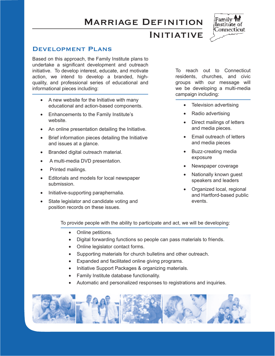### Marriage Definition



**INITIATIVE** 

#### Development Plans

Based on this approach, the Family Institute plans to undertake a significant development and outreach initiative. To develop interest, educate, and motivate action, we intend to develop a branded, highquality, and professional series of educational and informational pieces including:

- A new website for the Initiative with many educational and action-based components.
- • Enhancements to the Family Institute's website.
- An online presentation detailing the Initiative.
- Brief information pieces detailing the Initiative and issues at a glance.
- • Branded digital outreach material.
- • A multi-media DVD presentation.
- Printed mailings.
- • Editorials and models for local newspaper submission.
- • Initiative-supporting paraphernalia.
- State legislator and candidate voting and position records on these issues.

To reach out to Connecticut residents, churches, and civic groups with our message will we be developing a multi-media campaign including:

- Television advertising
- • Radio advertising
- Direct mailings of letters and media pieces.
- Email outreach of letters and media pieces
- • Buzz-creating media exposure
- Newspaper coverage
- Nationally known quest speakers and leaders
- Organized local, regional and Hartford-based public events.

To provide people with the ability to participate and act, we will be developing:

- Online petitions.
- • Digital forwarding functions so people can pass materials to friends.
- Online legislator contact forms.
- Supporting materials for church bulletins and other outreach.
- Expanded and facilitated online giving programs.
- Initiative Support Packages & organizing materials.
- **Family Institute database functionality.**
- Automatic and personalized responses to registrations and inquiries.